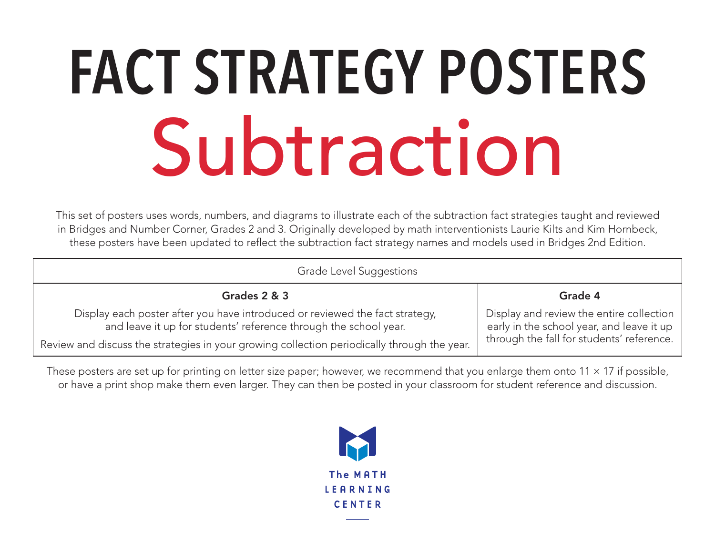#### **FACT STRATEGY POSTERS** Subtraction

This set of posters uses words, numbers, and diagrams to illustrate each of the subtraction fact strategies taught and reviewed in Bridges and Number Corner, Grades 2 and 3. Originally developed by math interventionists Laurie Kilts and Kim Hornbeck, these posters have been updated to reflect the subtraction fact strategy names and models used in Bridges 2nd Edition.

| Grade Level Suggestions                                                                                                                          |                                                                                       |
|--------------------------------------------------------------------------------------------------------------------------------------------------|---------------------------------------------------------------------------------------|
| Grades 2 & 3                                                                                                                                     | Grade 4                                                                               |
| Display each poster after you have introduced or reviewed the fact strategy,<br>and leave it up for students' reference through the school year. | Display and review the entire collection<br>early in the school year, and leave it up |
| Review and discuss the strategies in your growing collection periodically through the year.                                                      | through the fall for students' reference.                                             |

These posters are set up for printing on letter size paper; however, we recommend that you enlarge them onto  $11 \times 17$  if possible, or have a print shop make them even larger. They can then be posted in your classroom for student reference and discussion.

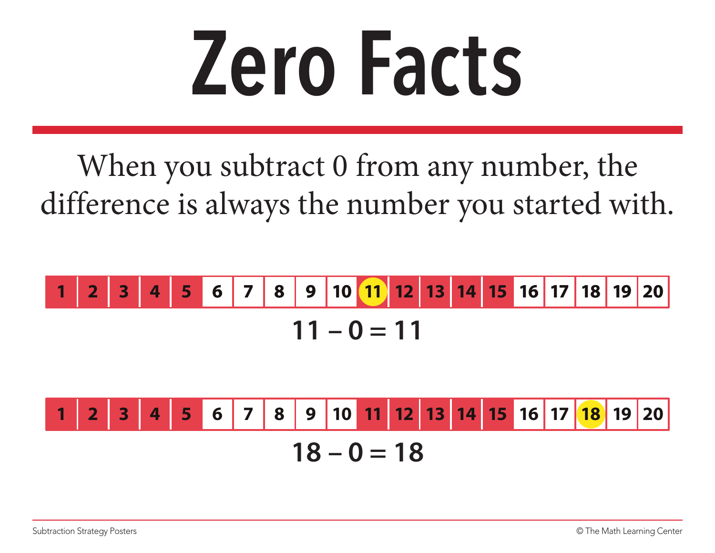#### **Zero Facts**

When you subtract 0 from any number, the difference is always the number you started with.

**11 – 0 = 11 1 2 3 4 5 6 7 8 9 10 11 12 13 14 15 16 17 18 19 20**

**18 – 0 = 18 1 2 3 4 5 6 7 8 9 10 11 12 13 14 15 16 17 18 19 20**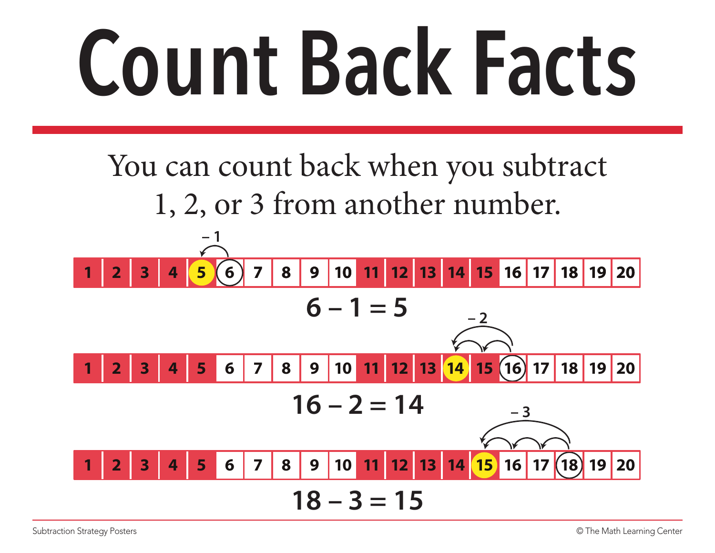#### **Count Back Facts**

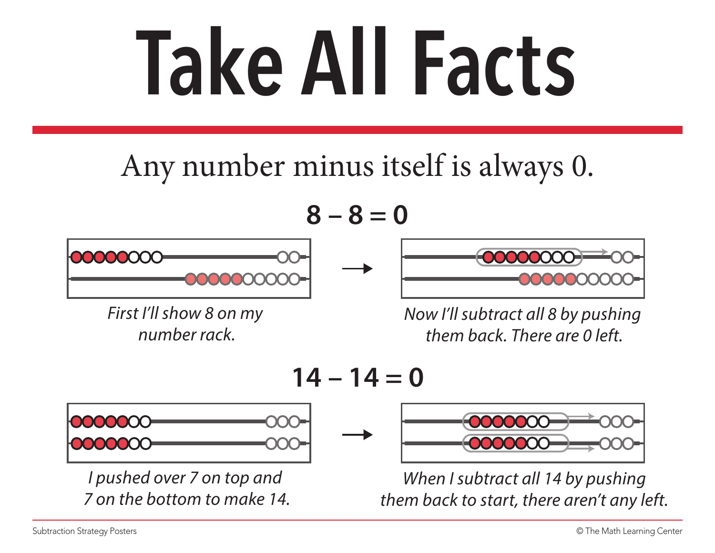### **Take All Facts**

#### Any number minus itself is always 0.

**8 – 8 = 0**



*First I'll show 8 on my number rack.*



*Now I'll subtract all 8 by pushing them back. There are 0 left.*





*I pushed over 7 on top and 7 on the bottom to make 14.*



*When I subtract all 14 by pushing them back to start, there aren't any left.*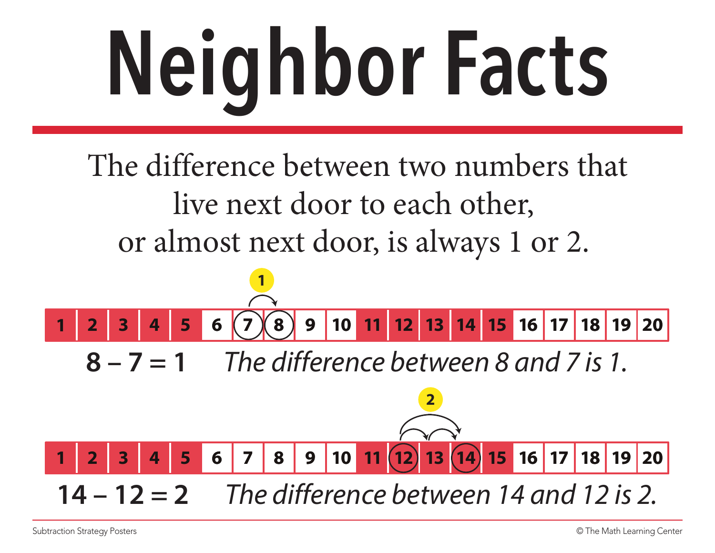# **Neighbor Facts**

The difference between two numbers that live next door to each other, or almost next door, is always 1 or 2.

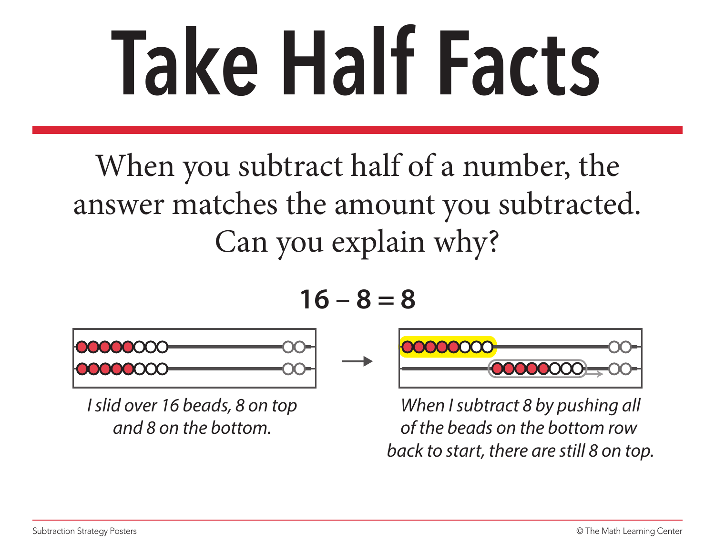### **Take Half Facts**

When you subtract half of a number, the answer matches the amount you subtracted. Can you explain why?

$$
16-8=8
$$



*I slid over 16 beads, 8 on top and 8 on the bottom.*



*When I subtract 8 by pushing all of the beads on the bottom row back to start, there are still 8 on top.*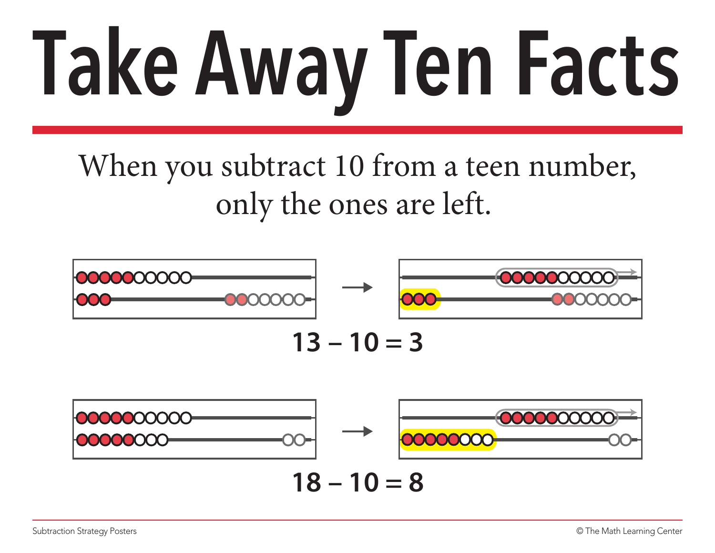# **Take Away Ten Facts**

When you subtract 10 from a teen number, only the ones are left.

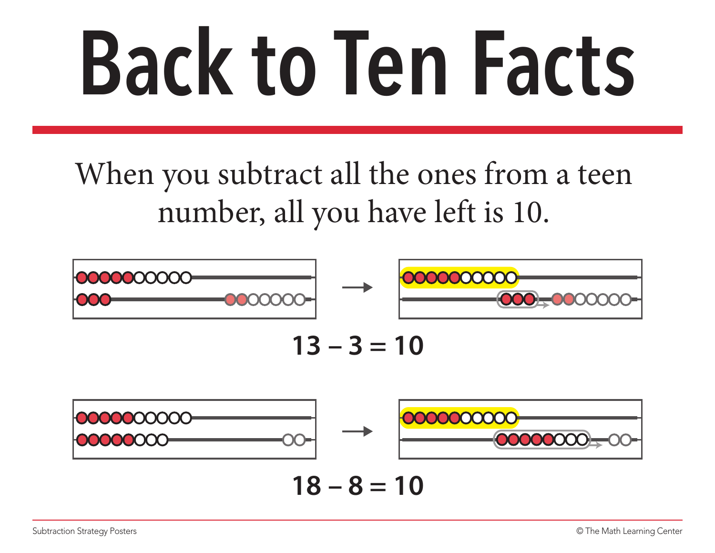## **Back to Ten Facts**

When you subtract all the ones from a teen number, all you have left is 10.

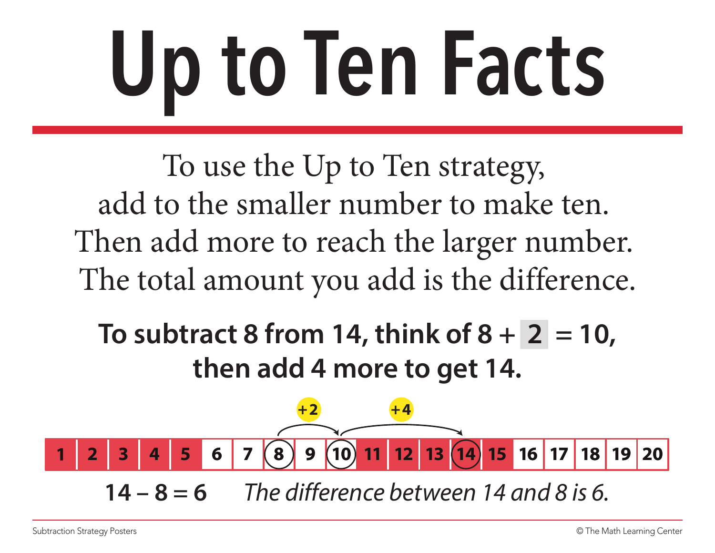## **Up to Ten Facts**

To use the Up to Ten strategy, add to the smaller number to make ten. Then add more to reach the larger number. The total amount you add is the difference.

**To subtract 8 from 14, think of**  $8 + 2 = 10$ **, then add 4 more to get 14.**